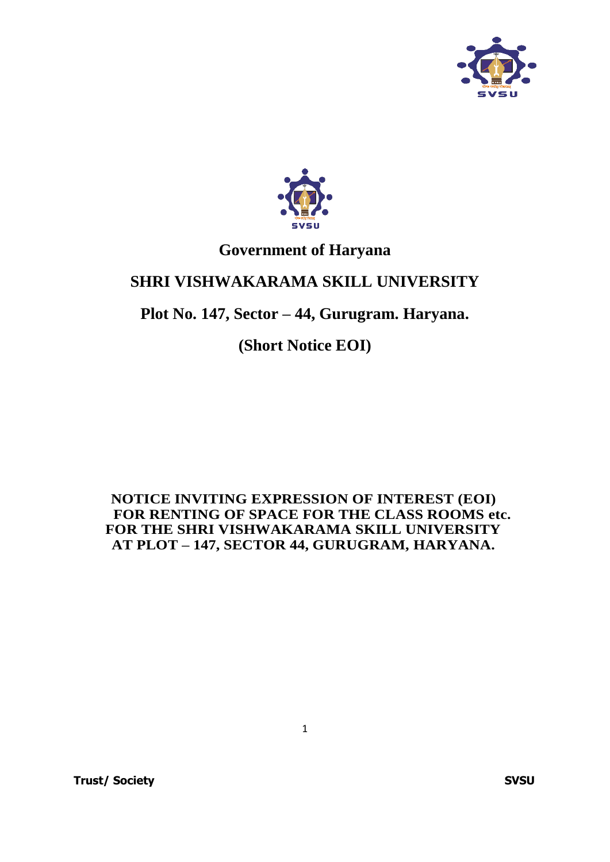



# **Government of Haryana**

# **SHRI VISHWAKARAMA SKILL UNIVERSITY**

# **Plot No. 147, Sector – 44, Gurugram. Haryana.**

**(Short Notice EOI)**

## **NOTICE INVITING EXPRESSION OF INTEREST (EOI) FOR RENTING OF SPACE FOR THE CLASS ROOMS etc. FOR THE SHRI VISHWAKARAMA SKILL UNIVERSITY AT PLOT – 147, SECTOR 44, GURUGRAM, HARYANA.**

1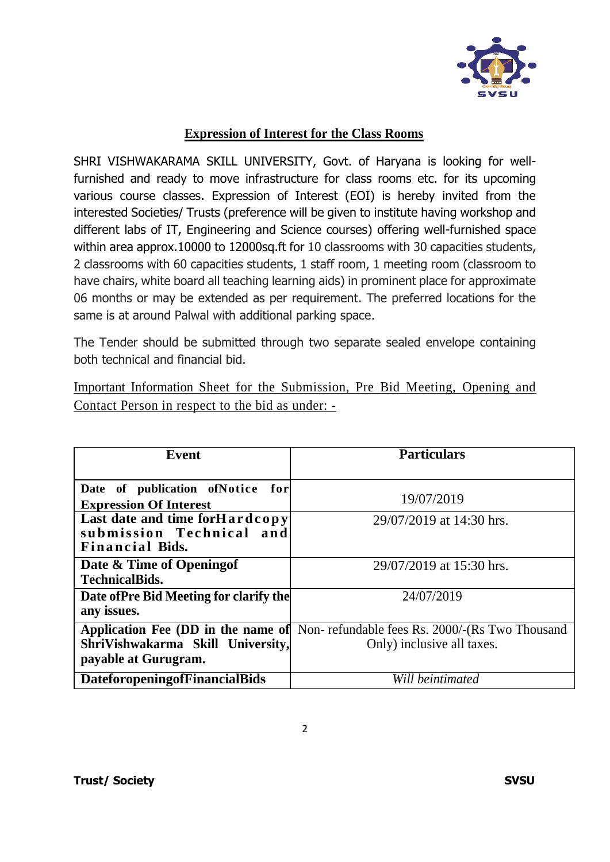

## **Expression of Interest for the Class Rooms**

SHRI VISHWAKARAMA SKILL UNIVERSITY, Govt. of Haryana is looking for wellfurnished and ready to move infrastructure for class rooms etc. for its upcoming various course classes. Expression of Interest (EOI) is hereby invited from the interested Societies/ Trusts (preference will be given to institute having workshop and different labs of IT, Engineering and Science courses) offering well-furnished space within area approx.10000 to 12000sq.ft for 10 classrooms with 30 capacities students, 2 classrooms with 60 capacities students, 1 staff room, 1 meeting room (classroom to have chairs, white board all teaching learning aids) in prominent place for approximate 06 months or may be extended as per requirement. The preferred locations for the same is at around Palwal with additional parking space.

The Tender should be submitted through two separate sealed envelope containing both technical and financial bid.

Important Information Sheet for the Submission, Pre Bid Meeting, Opening and Contact Person in respect to the bid as under: -

| Event                                   | <b>Particulars</b>                                                                       |  |
|-----------------------------------------|------------------------------------------------------------------------------------------|--|
|                                         |                                                                                          |  |
| Date of publication ofNotice<br>for     |                                                                                          |  |
| <b>Expression Of Interest</b>           | 19/07/2019                                                                               |  |
| Last date and time forHardcopy          | 29/07/2019 at 14:30 hrs.                                                                 |  |
| submission Technical and                |                                                                                          |  |
| <b>Financial Bids.</b>                  |                                                                                          |  |
| Date & Time of Opening of               | 29/07/2019 at 15:30 hrs.                                                                 |  |
| <b>TechnicalBids.</b>                   |                                                                                          |  |
| Date of Pre Bid Meeting for clarify the | 24/07/2019                                                                               |  |
| any issues.                             |                                                                                          |  |
|                                         | <b>Application Fee (DD in the name of</b> Non-refundable fees Rs. 2000/-(Rs Two Thousand |  |
| ShriVishwakarma Skill University,       | Only) inclusive all taxes.                                                               |  |
| payable at Gurugram.                    |                                                                                          |  |
| <b>DateforopeningofFinancialBids</b>    | Will beintimated                                                                         |  |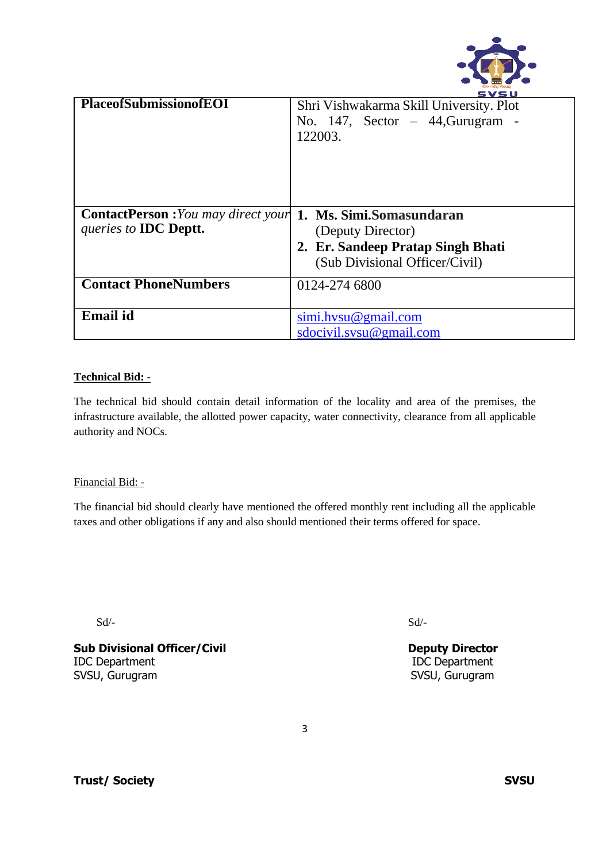

|                                            | svsu                                                                                         |
|--------------------------------------------|----------------------------------------------------------------------------------------------|
| <b>PlaceofSubmissionofEOI</b>              | Shri Vishwakarma Skill University. Plot<br>No. $147$ , Sector - $44$ , Gurugram -<br>122003. |
| <b>ContactPerson</b> : You may direct your | 1. Ms. Simi.Somasundaran                                                                     |
| queries to <b>IDC</b> Deptt.               | (Deputy Director)                                                                            |
|                                            |                                                                                              |
|                                            | 2. Er. Sandeep Pratap Singh Bhati                                                            |
|                                            | (Sub Divisional Officer/Civil)                                                               |
| <b>Contact PhoneNumbers</b>                | 0124-274 6800                                                                                |
|                                            |                                                                                              |
| <b>Email</b> id                            | $sim.$ hvsu $@$ gmail.com                                                                    |
|                                            | sdocivil.svsu@gmail.com                                                                      |
|                                            |                                                                                              |

#### **Technical Bid: -**

The technical bid should contain detail information of the locality and area of the premises, the infrastructure available, the allotted power capacity, water connectivity, clearance from all applicable authority and NOCs.

#### Financial Bid: -

The financial bid should clearly have mentioned the offered monthly rent including all the applicable taxes and other obligations if any and also should mentioned their terms offered for space.

 $Sd$ - $Sd$ -

**Sub Divisional Officer/Civil Community Community Deputy Director** IDC Department IDC Department SVSU, Gurugram SVSU, Gurugram SVSU, Gurugram SVSU, Gurugram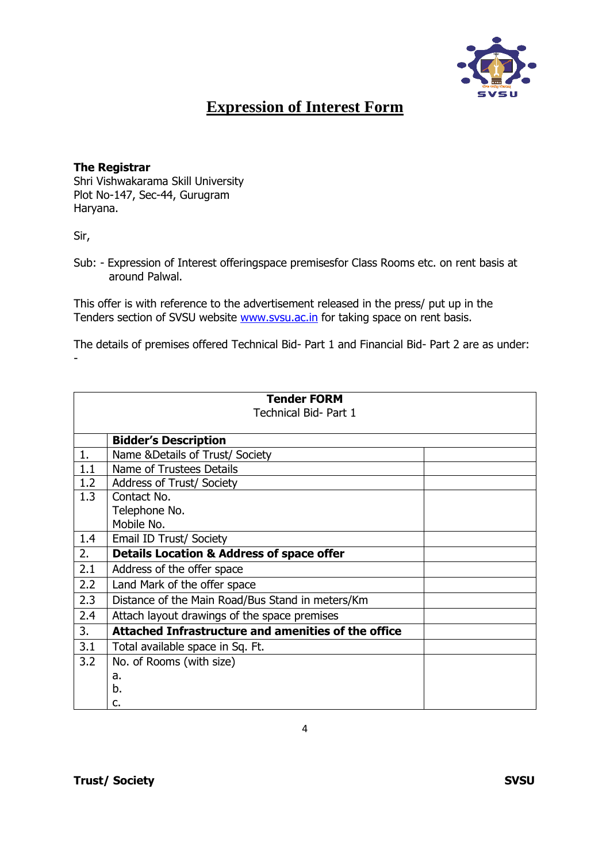

## **Expression of Interest Form**

#### **The Registrar**

Shri Vishwakarama Skill University Plot No-147, Sec-44, Gurugram Haryana.

Sir,

-

Sub: - Expression of Interest offeringspace premisesfor Class Rooms etc. on rent basis at around Palwal.

This offer is with reference to the advertisement released in the press/ put up in the Tenders section of SVSU website [www.svsu.ac.in](http://www.svsu.ac.in/) for taking space on rent basis.

The details of premises offered Technical Bid- Part 1 and Financial Bid- Part 2 are as under:

|     | <b>Tender FORM</b>                                         |  |
|-----|------------------------------------------------------------|--|
|     | Technical Bid- Part 1                                      |  |
|     |                                                            |  |
|     | <b>Bidder's Description</b>                                |  |
| 1.  | Name & Details of Trust/ Society                           |  |
| 1.1 | Name of Trustees Details                                   |  |
| 1.2 | <b>Address of Trust/ Society</b>                           |  |
| 1.3 | Contact No.                                                |  |
|     | Telephone No.                                              |  |
|     | Mobile No.                                                 |  |
| 1.4 | Email ID Trust/ Society                                    |  |
| 2.  | <b>Details Location &amp; Address of space offer</b>       |  |
| 2.1 | Address of the offer space                                 |  |
| 2.2 | Land Mark of the offer space                               |  |
| 2.3 | Distance of the Main Road/Bus Stand in meters/Km           |  |
| 2.4 | Attach layout drawings of the space premises               |  |
| 3.  | <b>Attached Infrastructure and amenities of the office</b> |  |
| 3.1 | Total available space in Sq. Ft.                           |  |
| 3.2 | No. of Rooms (with size)                                   |  |
|     | a.                                                         |  |
|     | b.                                                         |  |
|     | c.                                                         |  |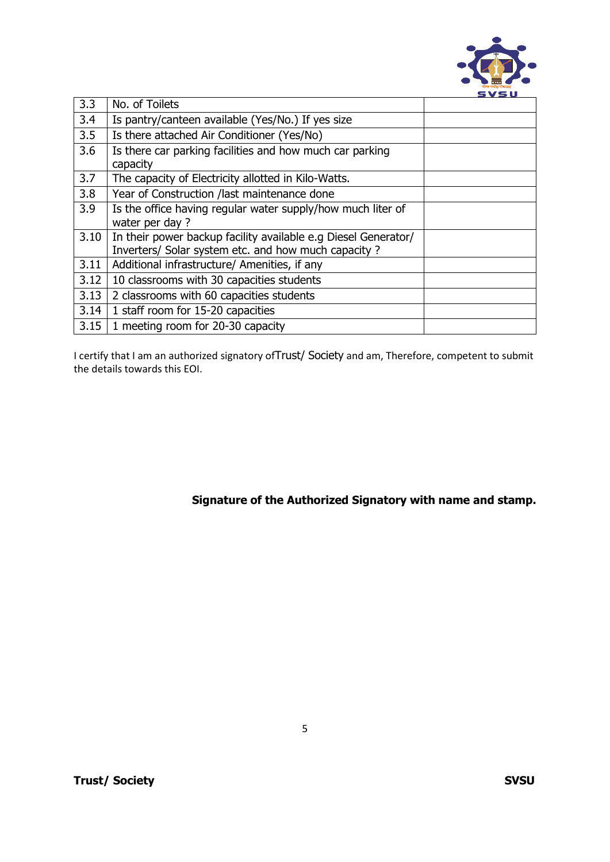

| 3.3  | No. of Toilets                                                 |  |
|------|----------------------------------------------------------------|--|
| 3.4  | Is pantry/canteen available (Yes/No.) If yes size              |  |
| 3.5  | Is there attached Air Conditioner (Yes/No)                     |  |
| 3.6  | Is there car parking facilities and how much car parking       |  |
|      | capacity                                                       |  |
| 3.7  | The capacity of Electricity allotted in Kilo-Watts.            |  |
| 3.8  | Year of Construction /last maintenance done                    |  |
| 3.9  | Is the office having regular water supply/how much liter of    |  |
|      | water per day?                                                 |  |
| 3.10 | In their power backup facility available e.g Diesel Generator/ |  |
|      | Inverters/ Solar system etc. and how much capacity ?           |  |
| 3.11 | Additional infrastructure/ Amenities, if any                   |  |
| 3.12 | 10 classrooms with 30 capacities students                      |  |
| 3.13 | 2 classrooms with 60 capacities students                       |  |
| 3.14 | 1 staff room for 15-20 capacities                              |  |
| 3.15 | 1 meeting room for 20-30 capacity                              |  |

I certify that I am an authorized signatory ofTrust/ Society and am, Therefore, competent to submit the details towards this EOI.

**Signature of the Authorized Signatory with name and stamp.**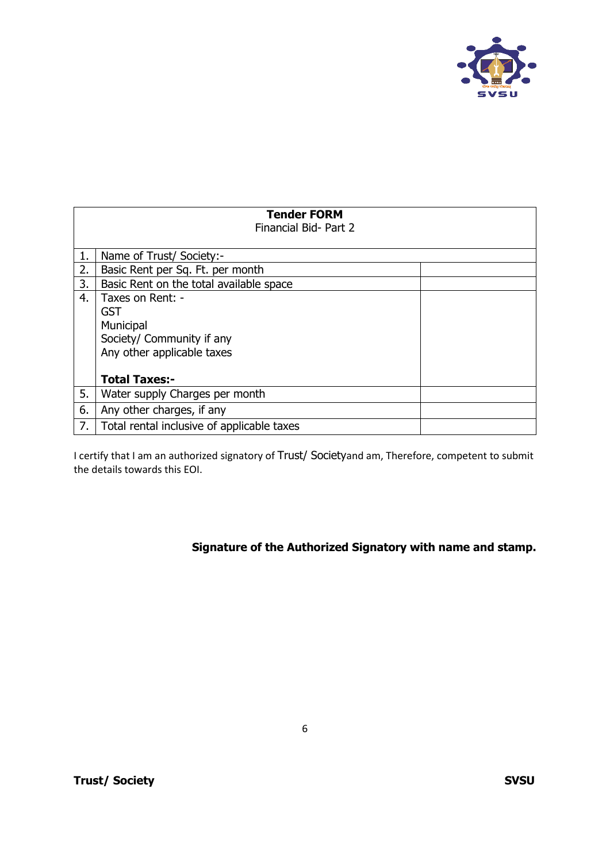

|    | Tender FORM<br>Financial Bid- Part 2                                                            |
|----|-------------------------------------------------------------------------------------------------|
|    | Name of Trust/ Society:-                                                                        |
| 2. | Basic Rent per Sq. Ft. per month                                                                |
| 3. | Basic Rent on the total available space                                                         |
| 4. | Taxes on Rent: -<br>GST<br>Municipal<br>Society/ Community if any<br>Any other applicable taxes |
|    | <b>Total Taxes:-</b>                                                                            |
| 5. | Water supply Charges per month                                                                  |
| 6. | Any other charges, if any                                                                       |
| 7. | Total rental inclusive of applicable taxes                                                      |

I certify that I am an authorized signatory of Trust/ Societyand am, Therefore, competent to submit the details towards this EOI.

**Signature of the Authorized Signatory with name and stamp.**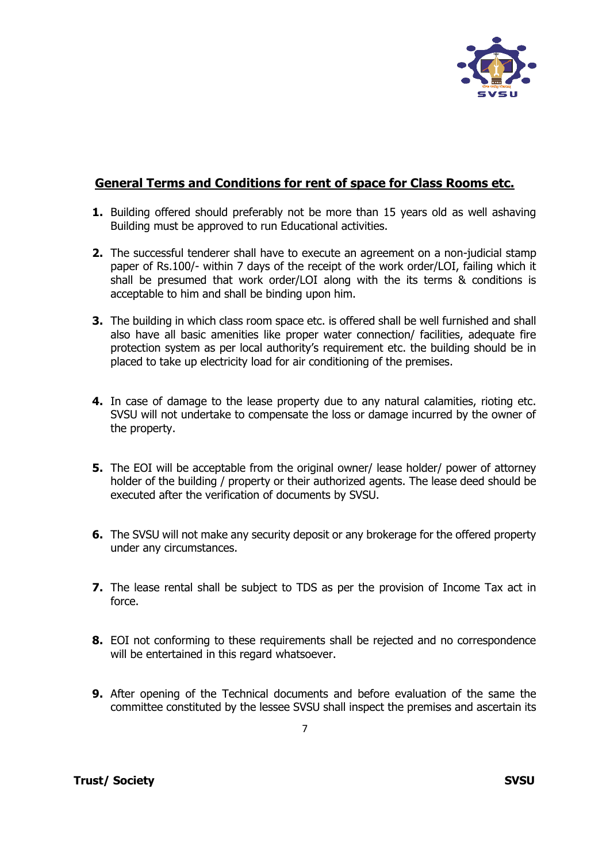

## **General Terms and Conditions for rent of space for Class Rooms etc.**

- **1.** Building offered should preferably not be more than 15 years old as well ashaving Building must be approved to run Educational activities.
- **2.** The successful tenderer shall have to execute an agreement on a non-judicial stamp paper of Rs.100/- within 7 days of the receipt of the work order/LOI, failing which it shall be presumed that work order/LOI along with the its terms & conditions is acceptable to him and shall be binding upon him.
- **3.** The building in which class room space etc. is offered shall be well furnished and shall also have all basic amenities like proper water connection/ facilities, adequate fire protection system as per local authority's requirement etc. the building should be in placed to take up electricity load for air conditioning of the premises.
- **4.** In case of damage to the lease property due to any natural calamities, rioting etc. SVSU will not undertake to compensate the loss or damage incurred by the owner of the property.
- **5.** The EOI will be acceptable from the original owner/ lease holder/ power of attorney holder of the building / property or their authorized agents. The lease deed should be executed after the verification of documents by SVSU.
- **6.** The SVSU will not make any security deposit or any brokerage for the offered property under any circumstances.
- **7.** The lease rental shall be subject to TDS as per the provision of Income Tax act in force.
- **8.** EOI not conforming to these requirements shall be rejected and no correspondence will be entertained in this regard whatsoever.
- **9.** After opening of the Technical documents and before evaluation of the same the committee constituted by the lessee SVSU shall inspect the premises and ascertain its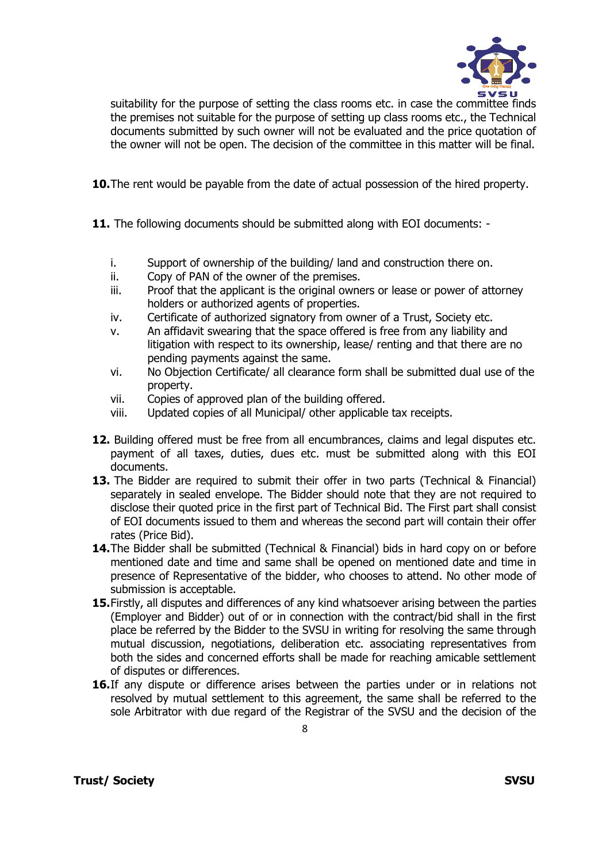

suitability for the purpose of setting the class rooms etc. in case the committee finds the premises not suitable for the purpose of setting up class rooms etc., the Technical documents submitted by such owner will not be evaluated and the price quotation of the owner will not be open. The decision of the committee in this matter will be final.

**10.**The rent would be payable from the date of actual possession of the hired property.

**11.** The following documents should be submitted along with EOI documents: -

- i. Support of ownership of the building/ land and construction there on.
- ii. Copy of PAN of the owner of the premises.
- iii. Proof that the applicant is the original owners or lease or power of attorney holders or authorized agents of properties.
- iv. Certificate of authorized signatory from owner of a Trust, Society etc.
- v. An affidavit swearing that the space offered is free from any liability and litigation with respect to its ownership, lease/ renting and that there are no pending payments against the same.
- vi. No Objection Certificate/ all clearance form shall be submitted dual use of the property.
- vii. Copies of approved plan of the building offered.
- viii. Updated copies of all Municipal/ other applicable tax receipts.
- **12.** Building offered must be free from all encumbrances, claims and legal disputes etc. payment of all taxes, duties, dues etc. must be submitted along with this EOI documents.
- **13.** The Bidder are required to submit their offer in two parts (Technical & Financial) separately in sealed envelope. The Bidder should note that they are not required to disclose their quoted price in the first part of Technical Bid. The First part shall consist of EOI documents issued to them and whereas the second part will contain their offer rates (Price Bid).
- **14.**The Bidder shall be submitted (Technical & Financial) bids in hard copy on or before mentioned date and time and same shall be opened on mentioned date and time in presence of Representative of the bidder, who chooses to attend. No other mode of submission is acceptable.
- **15.**Firstly, all disputes and differences of any kind whatsoever arising between the parties (Employer and Bidder) out of or in connection with the contract/bid shall in the first place be referred by the Bidder to the SVSU in writing for resolving the same through mutual discussion, negotiations, deliberation etc. associating representatives from both the sides and concerned efforts shall be made for reaching amicable settlement of disputes or differences.
- **16.**If any dispute or difference arises between the parties under or in relations not resolved by mutual settlement to this agreement, the same shall be referred to the sole Arbitrator with due regard of the Registrar of the SVSU and the decision of the